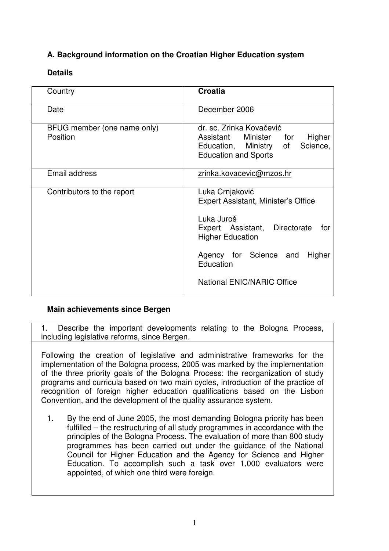# **A. Background information on the Croatian Higher Education system**

# **Details**

| Country                                 | <b>Croatia</b>                                                                                                                                                                                                            |
|-----------------------------------------|---------------------------------------------------------------------------------------------------------------------------------------------------------------------------------------------------------------------------|
| Date                                    | December 2006                                                                                                                                                                                                             |
| BFUG member (one name only)<br>Position | dr. sc. Zrinka Kovačević<br>Assistant Minister for<br>Higher<br>Education, Ministry<br>Science,<br>of<br><b>Education and Sports</b>                                                                                      |
| Email address                           | zrinka.kovacevic@mzos.hr                                                                                                                                                                                                  |
| Contributors to the report              | Luka Crnjaković<br>Expert Assistant, Minister's Office<br>Luka Juroš<br>Directorate<br>Expert Assistant,<br>for<br><b>Higher Education</b><br>Agency for Science and<br>Higher<br>Education<br>National ENIC/NARIC Office |

## **Main achievements since Bergen**

1. Describe the important developments relating to the Bologna Process, including legislative reforms, since Bergen.

Following the creation of legislative and administrative frameworks for the implementation of the Bologna process, 2005 was marked by the implementation of the three priority goals of the Bologna Process: the reorganization of study programs and curricula based on two main cycles, introduction of the practice of recognition of foreign higher education qualifications based on the Lisbon Convention, and the development of the quality assurance system.

1. By the end of June 2005, the most demanding Bologna priority has been fulfilled – the restructuring of all study programmes in accordance with the principles of the Bologna Process. The evaluation of more than 800 study programmes has been carried out under the guidance of the National Council for Higher Education and the Agency for Science and Higher Education. To accomplish such a task over 1,000 evaluators were appointed, of which one third were foreign.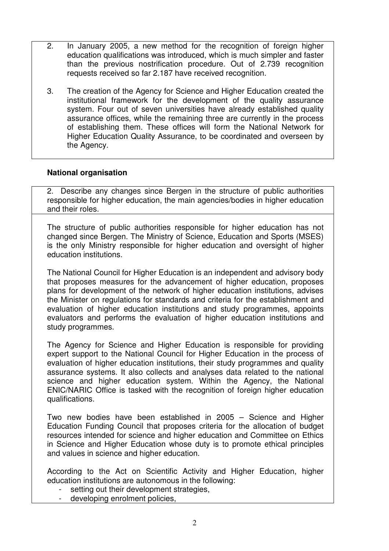- 2. In January 2005, a new method for the recognition of foreign higher education qualifications was introduced, which is much simpler and faster than the previous nostrification procedure. Out of 2.739 recognition requests received so far 2.187 have received recognition.
- 3. The creation of the Agency for Science and Higher Education created the institutional framework for the development of the quality assurance system. Four out of seven universities have already established quality assurance offices, while the remaining three are currently in the process of establishing them. These offices will form the National Network for Higher Education Quality Assurance, to be coordinated and overseen by the Agency.

#### **National organisation**

2. Describe any changes since Bergen in the structure of public authorities responsible for higher education, the main agencies/bodies in higher education and their roles.

The structure of public authorities responsible for higher education has not changed since Bergen. The Ministry of Science, Education and Sports (MSES) is the only Ministry responsible for higher education and oversight of higher education institutions.

The National Council for Higher Education is an independent and advisory body that proposes measures for the advancement of higher education, proposes plans for development of the network of higher education institutions, advises the Minister on regulations for standards and criteria for the establishment and evaluation of higher education institutions and study programmes, appoints evaluators and performs the evaluation of higher education institutions and study programmes.

The Agency for Science and Higher Education is responsible for providing expert support to the National Council for Higher Education in the process of evaluation of higher education institutions, their study programmes and quality assurance systems. It also collects and analyses data related to the national science and higher education system. Within the Agency, the National ENIC/NARIC Office is tasked with the recognition of foreign higher education qualifications.

Two new bodies have been established in 2005 – Science and Higher Education Funding Council that proposes criteria for the allocation of budget resources intended for science and higher education and Committee on Ethics in Science and Higher Education whose duty is to promote ethical principles and values in science and higher education.

According to the Act on Scientific Activity and Higher Education, higher education institutions are autonomous in the following:

- setting out their development strategies,
- developing enrolment policies,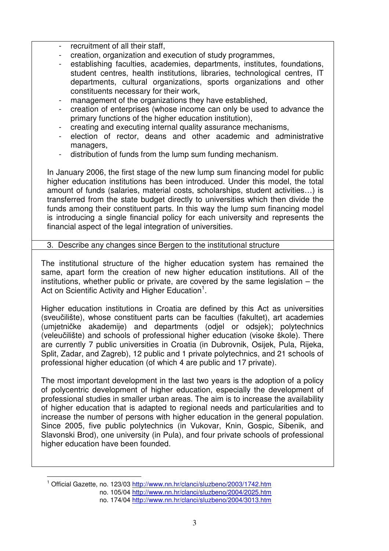- recruitment of all their staff,
- creation, organization and execution of study programmes,
- establishing faculties, academies, departments, institutes, foundations, student centres, health institutions, libraries, technological centres, IT departments, cultural organizations, sports organizations and other constituents necessary for their work,
- management of the organizations they have established,
- creation of enterprises (whose income can only be used to advance the primary functions of the higher education institution),
- creating and executing internal quality assurance mechanisms,
- election of rector, deans and other academic and administrative managers,
- distribution of funds from the lump sum funding mechanism.

In January 2006, the first stage of the new lump sum financing model for public higher education institutions has been introduced. Under this model, the total amount of funds (salaries, material costs, scholarships, student activities…) is transferred from the state budget directly to universities which then divide the funds among their constituent parts. In this way the lump sum financing model is introducing a single financial policy for each university and represents the financial aspect of the legal integration of universities.

#### 3. Describe any changes since Bergen to the institutional structure

The institutional structure of the higher education system has remained the same, apart form the creation of new higher education institutions. All of the institutions, whether public or private, are covered by the same legislation – the Act on Scientific Activity and Higher Education<sup>1</sup>.

Higher education institutions in Croatia are defined by this Act as universities (sveučilište), whose constituent parts can be faculties (fakultet), art academies (umjetničke akademije) and departments (odjel or odsjek); polytechnics (veleučilište) and schools of professional higher education (visoke škole). There are currently 7 public universities in Croatia (in Dubrovnik, Osijek, Pula, Rijeka, Split, Zadar, and Zagreb), 12 public and 1 private polytechnics, and 21 schools of professional higher education (of which 4 are public and 17 private).

The most important development in the last two years is the adoption of a policy of polycentric development of higher education, especially the development of professional studies in smaller urban areas. The aim is to increase the availability of higher education that is adapted to regional needs and particularities and to increase the number of persons with higher education in the general population. Since 2005, five public polytechnics (in Vukovar, Knin, Gospic, Sibenik, and Slavonski Brod), one university (in Pula), and four private schools of professional higher education have been founded.

<sup>&</sup>lt;sup>1</sup> Official Gazette, no. 123/03 http://www.nn.hr/clanci/sluzbeno/2003/1742.htm no. 105/04 http://www.nn.hr/clanci/sluzbeno/2004/2025.htm no. 174/04 http://www.nn.hr/clanci/sluzbeno/2004/3013.htm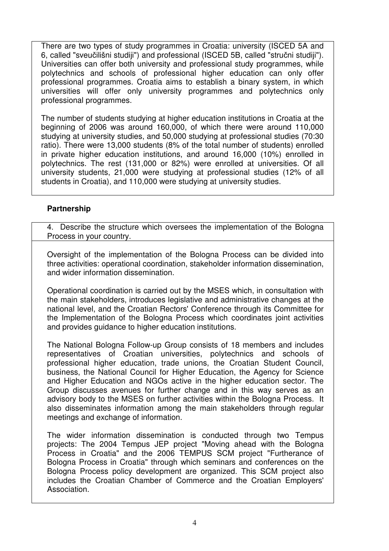There are two types of study programmes in Croatia: university (ISCED 5A and 6, called "sveučilišni studiji") and professional (ISCED 5B, called "stručni studiji"). Universities can offer both university and professional study programmes, while polytechnics and schools of professional higher education can only offer professional programmes. Croatia aims to establish a binary system, in which universities will offer only university programmes and polytechnics only professional programmes.

The number of students studying at higher education institutions in Croatia at the beginning of 2006 was around 160,000, of which there were around 110,000 studying at university studies, and 50,000 studying at professional studies (70:30 ratio). There were 13,000 students (8% of the total number of students) enrolled in private higher education institutions, and around 16,000 (10%) enrolled in polytechnics. The rest (131,000 or 82%) were enrolled at universities. Of all university students, 21,000 were studying at professional studies (12% of all students in Croatia), and 110,000 were studying at university studies.

## **Partnership**

4. Describe the structure which oversees the implementation of the Bologna Process in your country.

Oversight of the implementation of the Bologna Process can be divided into three activities: operational coordination, stakeholder information dissemination, and wider information dissemination.

Operational coordination is carried out by the MSES which, in consultation with the main stakeholders, introduces legislative and administrative changes at the national level, and the Croatian Rectors'Conference through its Committee for the Implementation of the Bologna Process which coordinates joint activities and provides guidance to higher education institutions.

The National Bologna Follow-up Group consists of 18 members and includes representatives of Croatian universities, polytechnics and schools of professional higher education, trade unions, the Croatian Student Council, business, the National Council for Higher Education, the Agency for Science and Higher Education and NGOs active in the higher education sector. The Group discusses avenues for further change and in this way serves as an advisory body to the MSES on further activities within the Bologna Process. It also disseminates information among the main stakeholders through regular meetings and exchange of information.

The wider information dissemination is conducted through two Tempus projects: The 2004 Tempus JEP project "Moving ahead with the Bologna Process in Croatia" and the 2006 TEMPUS SCM project "Furtherance of Bologna Process in Croatia" through which seminars and conferences on the Bologna Process policy development are organized. This SCM project also includes the Croatian Chamber of Commerce and the Croatian Employers' Association.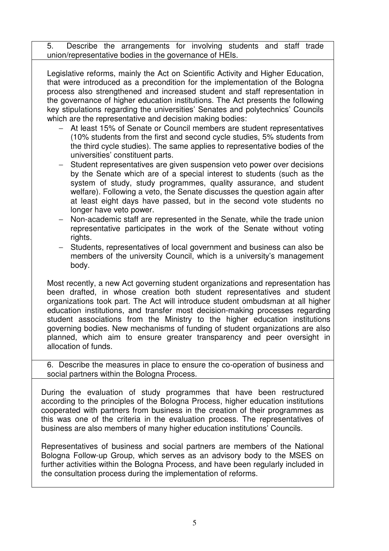5. Describe the arrangements for involving students and staff trade union/representative bodies in the governance of HEIs.

Legislative reforms, mainly the Act on Scientific Activity and Higher Education, that were introduced as a precondition for the implementation of the Bologna process also strengthened and increased student and staff representation in the governance of higher education institutions. The Act presents the following key stipulations regarding the universities' Senates and polytechnics' Councils which are the representative and decision making bodies:

- − At least 15% of Senate or Council members are student representatives (10% students from the first and second cycle studies, 5% students from the third cycle studies). The same applies to representative bodies of the universities' constituent parts.
- − Student representatives are given suspension veto power over decisions by the Senate which are of a special interest to students (such as the system of study, study programmes, quality assurance, and student welfare). Following a veto, the Senate discusses the question again after at least eight days have passed, but in the second vote students no longer have veto power.
- Non-academic staff are represented in the Senate, while the trade union representative participates in the work of the Senate without voting rights.
- − Students, representatives of local government and business can also be members of the university Council, which is a university's management body.

Most recently, a new Act governing student organizations and representation has been drafted, in whose creation both student representatives and student organizations took part. The Act will introduce student ombudsman at all higher education institutions, and transfer most decision-making processes regarding student associations from the Ministry to the higher education institutions governing bodies. New mechanisms of funding of student organizations are also planned, which aim to ensure greater transparency and peer oversight in allocation of funds.

6. Describe the measures in place to ensure the co-operation of business and social partners within the Bologna Process.

During the evaluation of study programmes that have been restructured according to the principles of the Bologna Process, higher education institutions cooperated with partners from business in the creation of their programmes as this was one of the criteria in the evaluation process. The representatives of business are also members of many higher education institutions' Councils.

Representatives of business and social partners are members of the National Bologna Follow-up Group, which serves as an advisory body to the MSES on further activities within the Bologna Process, and have been regularly included in the consultation process during the implementation of reforms.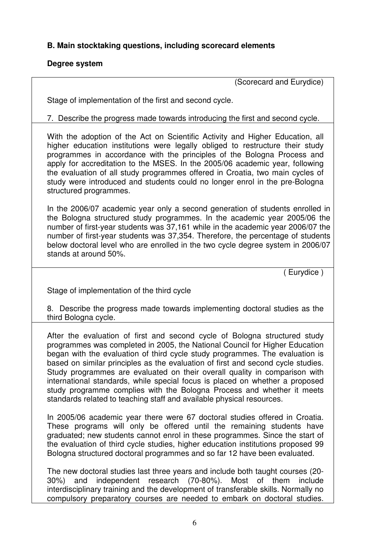# **B. Main stocktaking questions, including scorecard elements**

#### **Degree system**

(Scorecard and Eurydice)

Stage of implementation of the first and second cycle.

7. Describe the progress made towards introducing the first and second cycle.

With the adoption of the Act on Scientific Activity and Higher Education, all higher education institutions were legally obliged to restructure their study programmes in accordance with the principles of the Bologna Process and apply for accreditation to the MSES. In the 2005/06 academic year, following the evaluation of all study programmes offered in Croatia, two main cycles of study were introduced and students could no longer enrol in the pre-Bologna structured programmes.

In the 2006/07 academic year only a second generation of students enrolled in the Bologna structured study programmes. In the academic year 2005/06 the number of first-year students was 37,161 while in the academic year 2006/07 the number of first-year students was 37,354. Therefore, the percentage of students below doctoral level who are enrolled in the two cycle degree system in 2006/07 stands at around 50%.

( Eurydice )

Stage of implementation of the third cycle

8. Describe the progress made towards implementing doctoral studies as the third Bologna cycle.

After the evaluation of first and second cycle of Bologna structured study programmes was completed in 2005, the National Council for Higher Education began with the evaluation of third cycle study programmes. The evaluation is based on similar principles as the evaluation of first and second cycle studies. Study programmes are evaluated on their overall quality in comparison with international standards, while special focus is placed on whether a proposed study programme complies with the Bologna Process and whether it meets standards related to teaching staff and available physical resources.

In 2005/06 academic year there were 67 doctoral studies offered in Croatia. These programs will only be offered until the remaining students have graduated; new students cannot enrol in these programmes. Since the start of the evaluation of third cycle studies, higher education institutions proposed 99 Bologna structured doctoral programmes and so far 12 have been evaluated.

The new doctoral studies last three years and include both taught courses (20- 30%) and independent research (70-80%). Most of them include interdisciplinary training and the development of transferable skills. Normally no compulsory preparatory courses are needed to embark on doctoral studies.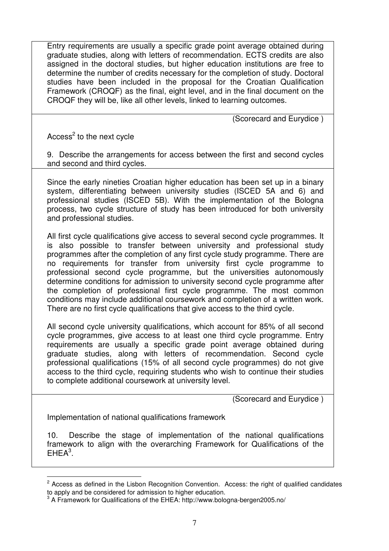Entry requirements are usually a specific grade point average obtained during graduate studies, along with letters of recommendation. ECTS credits are also assigned in the doctoral studies, but higher education institutions are free to determine the number of credits necessary for the completion of study. Doctoral studies have been included in the proposal for the Croatian Qualification Framework (CROQF) as the final, eight level, and in the final document on the CROQF they will be, like all other levels, linked to learning outcomes.

(Scorecard and Eurydice )

Access<sup>2</sup> to the next cycle

9. Describe the arrangements for access between the first and second cycles and second and third cycles.

Since the early nineties Croatian higher education has been set up in a binary system, differentiating between university studies (ISCED 5A and 6) and professional studies (ISCED 5B). With the implementation of the Bologna process, two cycle structure of study has been introduced for both university and professional studies.

All first cycle qualifications give access to several second cycle programmes. It is also possible to transfer between university and professional study programmes after the completion of any first cycle study programme. There are no requirements for transfer from university first cycle programme to professional second cycle programme, but the universities autonomously determine conditions for admission to university second cycle programme after the completion of professional first cycle programme. The most common conditions may include additional coursework and completion of a written work. There are no first cycle qualifications that give access to the third cycle.

All second cycle university qualifications, which account for 85% of all second cycle programmes, give access to at least one third cycle programme. Entry requirements are usually a specific grade point average obtained during graduate studies, along with letters of recommendation. Second cycle professional qualifications (15% of all second cycle programmes) do not give access to the third cycle, requiring students who wish to continue their studies to complete additional coursework at university level.

(Scorecard and Eurydice )

Implementation of national qualifications framework

10. Describe the stage of implementation of the national qualifications framework to align with the overarching Framework for Qualifications of the  $EHEA<sup>3</sup>$ .

 $2$  Access as defined in the Lisbon Recognition Convention. Access: the right of qualified candidates to apply and be considered for admission to higher education.

 $3$  A Framework for Qualifications of the EHEA: http://www.bologna-bergen2005.no/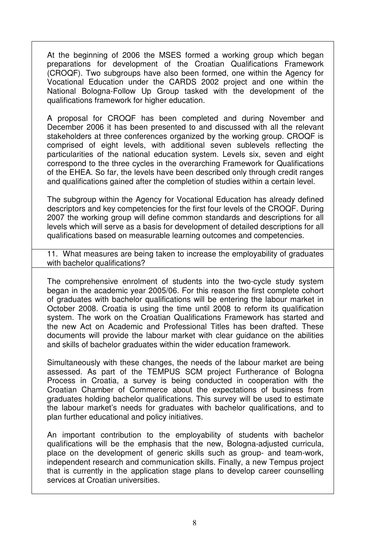At the beginning of 2006 the MSES formed a working group which began preparations for development of the Croatian Qualifications Framework (CROQF). Two subgroups have also been formed, one within the Agency for Vocational Education under the CARDS 2002 project and one within the National Bologna-Follow Up Group tasked with the development of the qualifications framework for higher education.

A proposal for CROQF has been completed and during November and December 2006 it has been presented to and discussed with all the relevant stakeholders at three conferences organized by the working group. CROQF is comprised of eight levels, with additional seven sublevels reflecting the particularities of the national education system. Levels six, seven and eight correspond to the three cycles in the overarching Framework for Qualifications of the EHEA. So far, the levels have been described only through credit ranges and qualifications gained after the completion of studies within a certain level.

The subgroup within the Agency for Vocational Education has already defined descriptors and key competencies for the first four levels of the CROQF. During 2007 the working group will define common standards and descriptions for all levels which will serve as a basis for development of detailed descriptions for all qualifications based on measurable learning outcomes and competencies.

11. What measures are being taken to increase the employability of graduates with bachelor qualifications?

The comprehensive enrolment of students into the two-cycle study system began in the academic year 2005/06. For this reason the first complete cohort of graduates with bachelor qualifications will be entering the labour market in October 2008. Croatia is using the time until 2008 to reform its qualification system. The work on the Croatian Qualifications Framework has started and the new Act on Academic and Professional Titles has been drafted. These documents will provide the labour market with clear guidance on the abilities and skills of bachelor graduates within the wider education framework.

Simultaneously with these changes, the needs of the labour market are being assessed. As part of the TEMPUS SCM project Furtherance of Bologna Process in Croatia, a survey is being conducted in cooperation with the Croatian Chamber of Commerce about the expectations of business from graduates holding bachelor qualifications. This survey will be used to estimate the labour market's needs for graduates with bachelor qualifications, and to plan further educational and policy initiatives.

An important contribution to the employability of students with bachelor qualifications will be the emphasis that the new, Bologna-adjusted curricula, place on the development of generic skills such as group- and team-work, independent research and communication skills. Finally, a new Tempus project that is currently in the application stage plans to develop career counselling services at Croatian universities.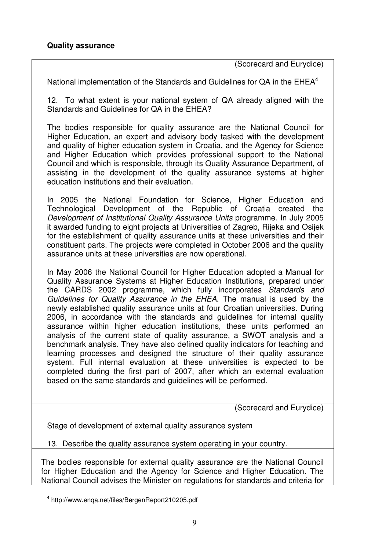(Scorecard and Eurydice)

National implementation of the Standards and Guidelines for QA in the EHEA<sup>4</sup>

12. To what extent is your national system of QA already aligned with the Standards and Guidelines for QA in the EHEA?

The bodies responsible for quality assurance are the National Council for Higher Education, an expert and advisory body tasked with the development and quality of higher education system in Croatia, and the Agency for Science and Higher Education which provides professional support to the National Council and which is responsible, through its Quality Assurance Department, of assisting in the development of the quality assurance systems at higher education institutions and their evaluation.

In 2005 the National Foundation for Science, Higher Education and Technological Development of the Republic of Croatia created the *Development of Institutional Quality Assurance Units* programme. In July 2005 it awarded funding to eight projects at Universities of Zagreb, Rijeka and Osijek for the establishment of quality assurance units at these universities and their constituent parts. The projects were completed in October 2006 and the quality assurance units at these universities are now operational.

In May 2006 the National Council for Higher Education adopted a Manual for Quality Assurance Systems at Higher Education Institutions, prepared under the CARDS 2002 programme, which fully incorporates *Standards and Guidelines for Quality Assurance in the EHEA*. The manual is used by the newly established quality assurance units at four Croatian universities. During 2006, in accordance with the standards and guidelines for internal quality assurance within higher education institutions, these units performed an analysis of the current state of quality assurance, a SWOT analysis and a benchmark analysis. They have also defined quality indicators for teaching and learning processes and designed the structure of their quality assurance system. Full internal evaluation at these universities is expected to be completed during the first part of 2007, after which an external evaluation based on the same standards and guidelines will be performed.

(Scorecard and Eurydice)

Stage of development of external quality assurance system

13. Describe the quality assurance system operating in your country.

The bodies responsible for external quality assurance are the National Council for Higher Education and the Agency for Science and Higher Education. The National Council advises the Minister on regulations for standards and criteria for

<sup>4</sup> http://www.enqa.net/files/BergenReport210205.pdf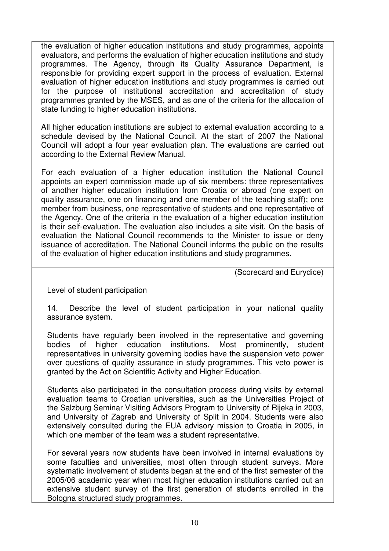the evaluation of higher education institutions and study programmes, appoints evaluators, and performs the evaluation of higher education institutions and study programmes. The Agency, through its Quality Assurance Department, is responsible for providing expert support in the process of evaluation. External evaluation of higher education institutions and study programmes is carried out for the purpose of institutional accreditation and accreditation of study programmes granted by the MSES, and as one of the criteria for the allocation of state funding to higher education institutions.

All higher education institutions are subject to external evaluation according to a schedule devised by the National Council. At the start of 2007 the National Council will adopt a four year evaluation plan. The evaluations are carried out according to the External Review Manual.

For each evaluation of a higher education institution the National Council appoints an expert commission made up of six members: three representatives of another higher education institution from Croatia or abroad (one expert on quality assurance, one on financing and one member of the teaching staff); one member from business, one representative of students and one representative of the Agency. One of the criteria in the evaluation of a higher education institution is their self-evaluation. The evaluation also includes a site visit. On the basis of evaluation the National Council recommends to the Minister to issue or deny issuance of accreditation. The National Council informs the public on the results of the evaluation of higher education institutions and study programmes.

(Scorecard and Eurydice)

Level of student participation

14. Describe the level of student participation in your national quality assurance system.

Students have regularly been involved in the representative and governing bodies of higher education institutions. Most prominently, student representatives in university governing bodies have the suspension veto power over questions of quality assurance in study programmes. This veto power is granted by the Act on Scientific Activity and Higher Education.

Students also participated in the consultation process during visits by external evaluation teams to Croatian universities, such as the Universities Project of the Salzburg Seminar Visiting Advisors Program to University of Rijeka in 2003, and University of Zagreb and University of Split in 2004. Students were also extensively consulted during the EUA advisory mission to Croatia in 2005, in which one member of the team was a student representative.

For several years now students have been involved in internal evaluations by some faculties and universities, most often through student surveys. More systematic involvement of students began at the end of the first semester of the 2005/06 academic year when most higher education institutions carried out an extensive student survey of the first generation of students enrolled in the Bologna structured study programmes.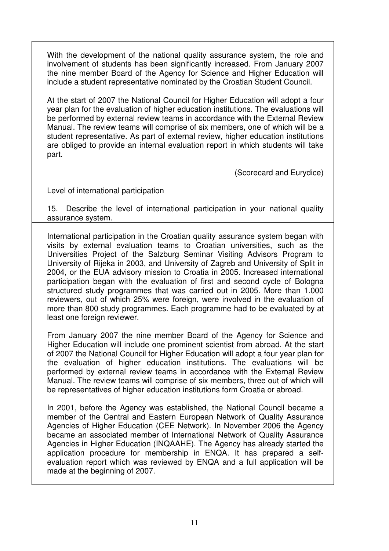With the development of the national quality assurance system, the role and involvement of students has been significantly increased. From January 2007 the nine member Board of the Agency for Science and Higher Education will include a student representative nominated by the Croatian Student Council.

At the start of 2007 the National Council for Higher Education will adopt a four year plan for the evaluation of higher education institutions. The evaluations will be performed by external review teams in accordance with the External Review Manual. The review teams will comprise of six members, one of which will be a student representative. As part of external review, higher education institutions are obliged to provide an internal evaluation report in which students will take part.

(Scorecard and Eurydice)

Level of international participation

15. Describe the level of international participation in your national quality assurance system.

International participation in the Croatian quality assurance system began with visits by external evaluation teams to Croatian universities, such as the Universities Project of the Salzburg Seminar Visiting Advisors Program to University of Rijeka in 2003, and University of Zagreb and University of Split in 2004, or the EUA advisory mission to Croatia in 2005. Increased international participation began with the evaluation of first and second cycle of Bologna structured study programmes that was carried out in 2005. More than 1.000 reviewers, out of which 25% were foreign, were involved in the evaluation of more than 800 study programmes. Each programme had to be evaluated by at least one foreign reviewer.

From January 2007 the nine member Board of the Agency for Science and Higher Education will include one prominent scientist from abroad. At the start of 2007 the National Council for Higher Education will adopt a four year plan for the evaluation of higher education institutions. The evaluations will be performed by external review teams in accordance with the External Review Manual. The review teams will comprise of six members, three out of which will be representatives of higher education institutions form Croatia or abroad.

In 2001, before the Agency was established, the National Council became a member of the Central and Eastern European Network of Quality Assurance Agencies of Higher Education (CEE Network). In November 2006 the Agency became an associated member of International Network of Quality Assurance Agencies in Higher Education (INQAAHE). The Agency has already started the application procedure for membership in ENQA. It has prepared a selfevaluation report which was reviewed by ENQA and a full application will be made at the beginning of 2007.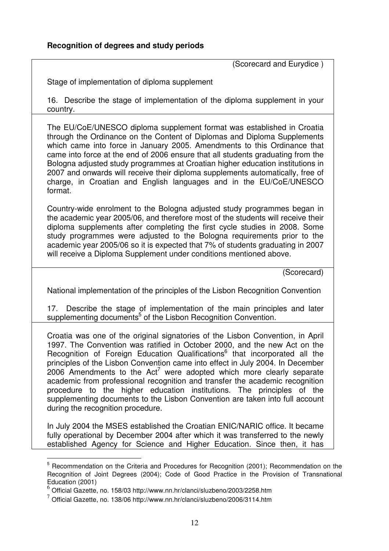(Scorecard and Eurydice )

Stage of implementation of diploma supplement

16. Describe the stage of implementation of the diploma supplement in your country.

The EU/CoE/UNESCO diploma supplement format was established in Croatia through the Ordinance on the Content of Diplomas and Diploma Supplements which came into force in January 2005. Amendments to this Ordinance that came into force at the end of 2006 ensure that all students graduating from the Bologna adjusted study programmes at Croatian higher education institutions in 2007 and onwards will receive their diploma supplements automatically, free of charge, in Croatian and English languages and in the EU/CoE/UNESCO format.

Country-wide enrolment to the Bologna adjusted study programmes began in the academic year 2005/06, and therefore most of the students will receive their diploma supplements after completing the first cycle studies in 2008. Some study programmes were adjusted to the Bologna requirements prior to the academic year 2005/06 so it is expected that 7% of students graduating in 2007 will receive a Diploma Supplement under conditions mentioned above.

(Scorecard)

National implementation of the principles of the Lisbon Recognition Convention

17. Describe the stage of implementation of the main principles and later supplementing documents<sup>5</sup> of the Lisbon Recognition Convention.

Croatia was one of the original signatories of the Lisbon Convention, in April 1997. The Convention was ratified in October 2000, and the new Act on the Recognition of Foreign Education Qualifications<sup>6</sup> that incorporated all the principles of the Lisbon Convention came into effect in July 2004. In December 2006 Amendments to the Act<sup>7</sup> were adopted which more clearly separate academic from professional recognition and transfer the academic recognition procedure to the higher education institutions. The principles of the supplementing documents to the Lisbon Convention are taken into full account during the recognition procedure.

In July 2004 the MSES established the Croatian ENIC/NARIC office. It became fully operational by December 2004 after which it was transferred to the newly established Agency for Science and Higher Education. Since then, it has

<sup>&</sup>lt;sup>5</sup> Recommendation on the Criteria and Procedures for Recognition (2001); Recommendation on the Recognition of Joint Degrees (2004); Code of Good Practice in the Provision of Transnational Education (2001)

 $6$  Official Gazette, no. 158/03 http://www.nn.hr/clanci/sluzbeno/2003/2258.htm

 $7$  Official Gazette, no. 138/06 http://www.nn.hr/clanci/sluzbeno/2006/3114.htm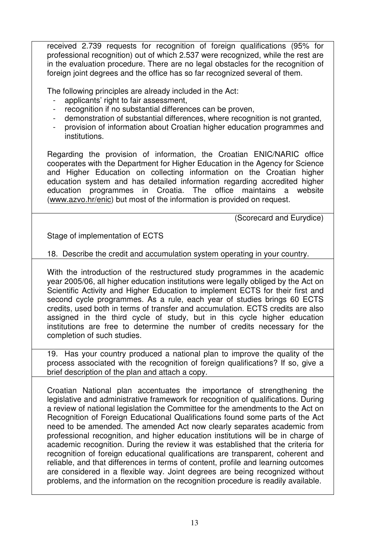received 2.739 requests for recognition of foreign qualifications (95% for professional recognition) out of which 2.537 were recognized, while the rest are in the evaluation procedure. There are no legal obstacles for the recognition of foreign joint degrees and the office has so far recognized several of them.

The following principles are already included in the Act:

- applicants' right to fair assessment,
- recognition if no substantial differences can be proven,
- demonstration of substantial differences, where recognition is not granted.
- provision of information about Croatian higher education programmes and institutions.

Regarding the provision of information, the Croatian ENIC/NARIC office cooperates with the Department for Higher Education in the Agency for Science and Higher Education on collecting information on the Croatian higher education system and has detailed information regarding accredited higher education programmes in Croatia. The office maintains a website (www.azvo.hr/enic) but most of the information is provided on request.

(Scorecard and Eurydice)

Stage of implementation of ECTS

18. Describe the credit and accumulation system operating in your country.

With the introduction of the restructured study programmes in the academic year 2005/06, all higher education institutions were legally obliged by the Act on Scientific Activity and Higher Education to implement ECTS for their first and second cycle programmes. As a rule, each year of studies brings 60 ECTS credits, used both in terms of transfer and accumulation. ECTS credits are also assigned in the third cycle of study, but in this cycle higher education institutions are free to determine the number of credits necessary for the completion of such studies.

19. Has your country produced a national plan to improve the quality of the process associated with the recognition of foreign qualifications? If so, give a brief description of the plan and attach a copy.

Croatian National plan accentuates the importance of strengthening the legislative and administrative framework for recognition of qualifications. During a review of national legislation the Committee for the amendments to the Act on Recognition of Foreign Educational Qualifications found some parts of the Act need to be amended. The amended Act now clearly separates academic from professional recognition, and higher education institutions will be in charge of academic recognition. During the review it was established that the criteria for recognition of foreign educational qualifications are transparent, coherent and reliable, and that differences in terms of content, profile and learning outcomes are considered in a flexible way. Joint degrees are being recognized without problems, and the information on the recognition procedure is readily available.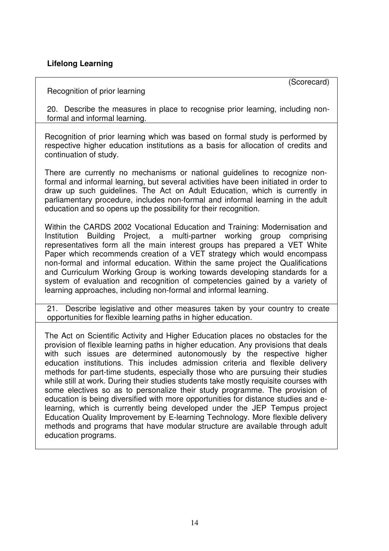## **Lifelong Learning**

(Scorecard)

#### Recognition of prior learning

20. Describe the measures in place to recognise prior learning, including nonformal and informal learning.

Recognition of prior learning which was based on formal study is performed by respective higher education institutions as a basis for allocation of credits and continuation of study.

There are currently no mechanisms or national guidelines to recognize nonformal and informal learning, but several activities have been initiated in order to draw up such guidelines. The Act on Adult Education, which is currently in parliamentary procedure, includes non-formal and informal learning in the adult education and so opens up the possibility for their recognition.

Within the CARDS 2002 Vocational Education and Training: Modernisation and Institution Building Project, a multi-partner working group comprising representatives form all the main interest groups has prepared a VET White Paper which recommends creation of a VET strategy which would encompass non-formal and informal education. Within the same project the Qualifications and Curriculum Working Group is working towards developing standards for a system of evaluation and recognition of competencies gained by a variety of learning approaches, including non-formal and informal learning.

21. Describe legislative and other measures taken by your country to create opportunities for flexible learning paths in higher education.

The Act on Scientific Activity and Higher Education places no obstacles for the provision of flexible learning paths in higher education. Any provisions that deals with such issues are determined autonomously by the respective higher education institutions. This includes admission criteria and flexible delivery methods for part-time students, especially those who are pursuing their studies while still at work. During their studies students take mostly requisite courses with some electives so as to personalize their study programme. The provision of education is being diversified with more opportunities for distance studies and elearning, which is currently being developed under the JEP Tempus project Education Quality Improvement by E-learning Technology. More flexible delivery methods and programs that have modular structure are available through adult education programs.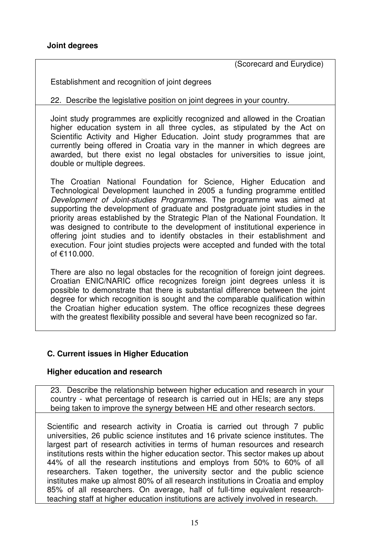(Scorecard and Eurydice)

Establishment and recognition of joint degrees

22. Describe the legislative position on joint degrees in your country.

Joint study programmes are explicitly recognized and allowed in the Croatian higher education system in all three cycles, as stipulated by the Act on Scientific Activity and Higher Education. Joint study programmes that are currently being offered in Croatia vary in the manner in which degrees are awarded, but there exist no legal obstacles for universities to issue joint, double or multiple degrees.

The Croatian National Foundation for Science, Higher Education and Technological Development launched in 2005 a funding programme entitled *Development of Joint-studies Programmes*. The programme was aimed at supporting the development of graduate and postgraduate joint studies in the priority areas established by the Strategic Plan of the National Foundation. It was designed to contribute to the development of institutional experience in offering joint studies and to identify obstacles in their establishment and execution. Four joint studies projects were accepted and funded with the total of €110.000.

There are also no legal obstacles for the recognition of foreign joint degrees. Croatian ENIC/NARIC office recognizes foreign joint degrees unless it is possible to demonstrate that there is substantial difference between the joint degree for which recognition is sought and the comparable qualification within the Croatian higher education system. The office recognizes these degrees with the greatest flexibility possible and several have been recognized so far.

## **C. Current issues in Higher Education**

#### **Higher education and research**

23. Describe the relationship between higher education and research in your country - what percentage of research is carried out in HEIs; are any steps being taken to improve the synergy between HE and other research sectors.

Scientific and research activity in Croatia is carried out through 7 public universities, 26 public science institutes and 16 private science institutes. The largest part of research activities in terms of human resources and research institutions rests within the higher education sector. This sector makes up about 44% of all the research institutions and employs from 50% to 60% of all researchers. Taken together, the university sector and the public science institutes make up almost 80% of all research institutions in Croatia and employ 85% of all researchers. On average, half of full-time equivalent researchteaching staff at higher education institutions are actively involved in research.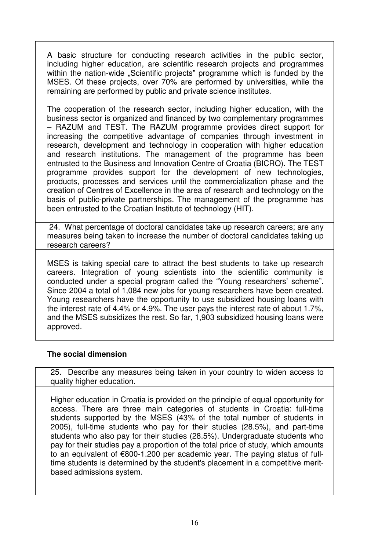A basic structure for conducting research activities in the public sector, including higher education, are scientific research projects and programmes within the nation-wide "Scientific projects" programme which is funded by the MSES. Of these projects, over 70% are performed by universities, while the remaining are performed by public and private science institutes.

The cooperation of the research sector, including higher education, with the business sector is organized and financed by two complementary programmes – RAZUM and TEST. The RAZUM programme provides direct support for increasing the competitive advantage of companies through investment in research, development and technology in cooperation with higher education and research institutions. The management of the programme has been entrusted to the Business and Innovation Centre of Croatia (BICRO). The TEST programme provides support for the development of new technologies, products, processes and services until the commercialization phase and the creation of Centres of Excellence in the area of research and technology on the basis of public-private partnerships. The management of the programme has been entrusted to the Croatian Institute of technology (HIT).

24. What percentage of doctoral candidates take up research careers; are any measures being taken to increase the number of doctoral candidates taking up research careers?

MSES is taking special care to attract the best students to take up research careers. Integration of young scientists into the scientific community is conducted under a special program called the "Young researchers' scheme". Since 2004 a total of 1,084 new jobs for young researchers have been created. Young researchers have the opportunity to use subsidized housing loans with the interest rate of 4.4% or 4.9%. The user pays the interest rate of about 1.7%, and the MSES subsidizes the rest. So far, 1,903 subsidized housing loans were approved.

## **The social dimension**

25. Describe any measures being taken in your country to widen access to quality higher education.

Higher education in Croatia is provided on the principle of equal opportunity for access. There are three main categories of students in Croatia: full-time students supported by the MSES (43% of the total number of students in 2005), full-time students who pay for their studies (28.5%), and part-time students who also pay for their studies (28.5%). Undergraduate students who pay for their studies pay a proportion of the total price of study, which amounts to an equivalent of €800-1.200 per academic year. The paying status of fulltime students is determined by the student's placement in a competitive meritbased admissions system.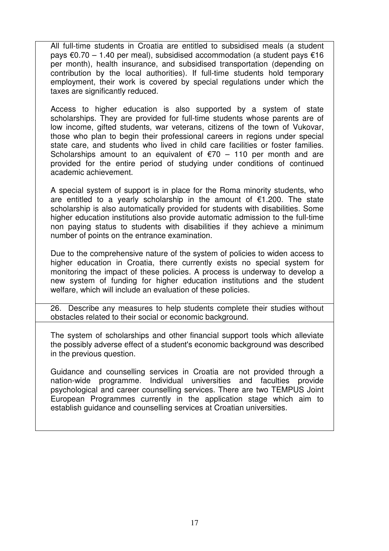All full-time students in Croatia are entitled to subsidised meals (a student pays €0.70 – 1.40 per meal), subsidised accommodation (a student pays €16 per month), health insurance, and subsidised transportation (depending on contribution by the local authorities). If full-time students hold temporary employment, their work is covered by special regulations under which the taxes are significantly reduced.

Access to higher education is also supported by a system of state scholarships. They are provided for full-time students whose parents are of low income, gifted students, war veterans, citizens of the town of Vukovar, those who plan to begin their professional careers in regions under special state care, and students who lived in child care facilities or foster families. Scholarships amount to an equivalent of  $\epsilon$ 70 – 110 per month and are provided for the entire period of studying under conditions of continued academic achievement.

A special system of support is in place for the Roma minority students, who are entitled to a yearly scholarship in the amount of  $\epsilon$ 1.200. The state scholarship is also automatically provided for students with disabilities. Some higher education institutions also provide automatic admission to the full-time non paying status to students with disabilities if they achieve a minimum number of points on the entrance examination.

Due to the comprehensive nature of the system of policies to widen access to higher education in Croatia, there currently exists no special system for monitoring the impact of these policies. A process is underway to develop a new system of funding for higher education institutions and the student welfare, which will include an evaluation of these policies.

26. Describe any measures to help students complete their studies without obstacles related to their social or economic background.

The system of scholarships and other financial support tools which alleviate the possibly adverse effect of a student's economic background was described in the previous question.

Guidance and counselling services in Croatia are not provided through a nation-wide programme. Individual universities and faculties provide psychological and career counselling services. There are two TEMPUS Joint European Programmes currently in the application stage which aim to establish guidance and counselling services at Croatian universities.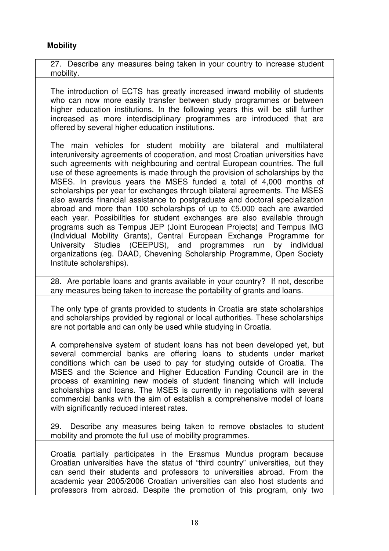## **Mobility**

27. Describe any measures being taken in your country to increase student mobility.

The introduction of ECTS has greatly increased inward mobility of students who can now more easily transfer between study programmes or between higher education institutions. In the following years this will be still further increased as more interdisciplinary programmes are introduced that are offered by several higher education institutions.

The main vehicles for student mobility are bilateral and multilateral interuniversity agreements of cooperation, and most Croatian universities have such agreements with neighbouring and central European countries. The full use of these agreements is made through the provision of scholarships by the MSES. In previous years the MSES funded a total of 4,000 months of scholarships per year for exchanges through bilateral agreements. The MSES also awards financial assistance to postgraduate and doctoral specialization abroad and more than 100 scholarships of up to €5,000 each are awarded each year. Possibilities for student exchanges are also available through programs such as Tempus JEP (Joint European Projects) and Tempus IMG (Individual Mobility Grants), Central European Exchange Programme for University Studies (CEEPUS), and programmes run by individual organizations (eg. DAAD, Chevening Scholarship Programme, Open Society Institute scholarships).

28. Are portable loans and grants available in your country? If not, describe any measures being taken to increase the portability of grants and loans.

The only type of grants provided to students in Croatia are state scholarships and scholarships provided by regional or local authorities. These scholarships are not portable and can only be used while studying in Croatia.

A comprehensive system of student loans has not been developed yet, but several commercial banks are offering loans to students under market conditions which can be used to pay for studying outside of Croatia. The MSES and the Science and Higher Education Funding Council are in the process of examining new models of student financing which will include scholarships and loans. The MSES is currently in negotiations with several commercial banks with the aim of establish a comprehensive model of loans with significantly reduced interest rates.

29. Describe any measures being taken to remove obstacles to student mobility and promote the full use of mobility programmes.

Croatia partially participates in the Erasmus Mundus program because Croatian universities have the status of "third country" universities, but they can send their students and professors to universities abroad. From the academic year 2005/2006 Croatian universities can also host students and professors from abroad. Despite the promotion of this program, only two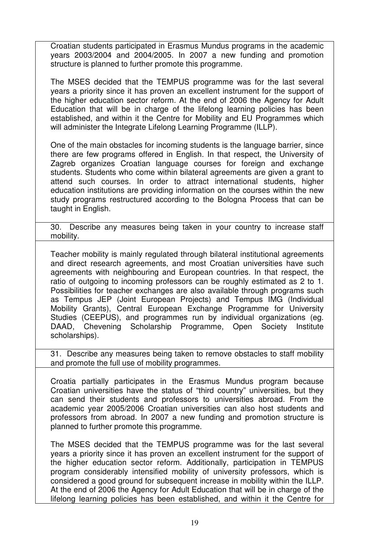Croatian students participated in Erasmus Mundus programs in the academic years 2003/2004 and 2004/2005. In 2007 a new funding and promotion structure is planned to further promote this programme.

The MSES decided that the TEMPUS programme was for the last several years a priority since it has proven an excellent instrument for the support of the higher education sector reform. At the end of 2006 the Agency for Adult Education that will be in charge of the lifelong learning policies has been established, and within it the Centre for Mobility and EU Programmes which will administer the Integrate Lifelong Learning Programme (ILLP).

One of the main obstacles for incoming students is the language barrier, since there are few programs offered in English. In that respect, the University of Zagreb organizes Croatian language courses for foreign and exchange students. Students who come within bilateral agreements are given a grant to attend such courses. In order to attract international students, higher education institutions are providing information on the courses within the new study programs restructured according to the Bologna Process that can be taught in English.

30. Describe any measures being taken in your country to increase staff mobility.

Teacher mobility is mainly regulated through bilateral institutional agreements and direct research agreements, and most Croatian universities have such agreements with neighbouring and European countries. In that respect, the ratio of outgoing to incoming professors can be roughly estimated as 2 to 1. Possibilities for teacher exchanges are also available through programs such as Tempus JEP (Joint European Projects) and Tempus IMG (Individual Mobility Grants), Central European Exchange Programme for University Studies (CEEPUS), and programmes run by individual organizations (eg. DAAD, Chevening Scholarship Programme, Open Society Institute scholarships).

31. Describe any measures being taken to remove obstacles to staff mobility and promote the full use of mobility programmes.

Croatia partially participates in the Erasmus Mundus program because Croatian universities have the status of "third country" universities, but they can send their students and professors to universities abroad. From the academic year 2005/2006 Croatian universities can also host students and professors from abroad. In 2007 a new funding and promotion structure is planned to further promote this programme.

The MSES decided that the TEMPUS programme was for the last several years a priority since it has proven an excellent instrument for the support of the higher education sector reform. Additionally, participation in TEMPUS program considerably intensified mobility of university professors, which is considered a good ground for subsequent increase in mobility within the ILLP. At the end of 2006 the Agency for Adult Education that will be in charge of the lifelong learning policies has been established, and within it the Centre for